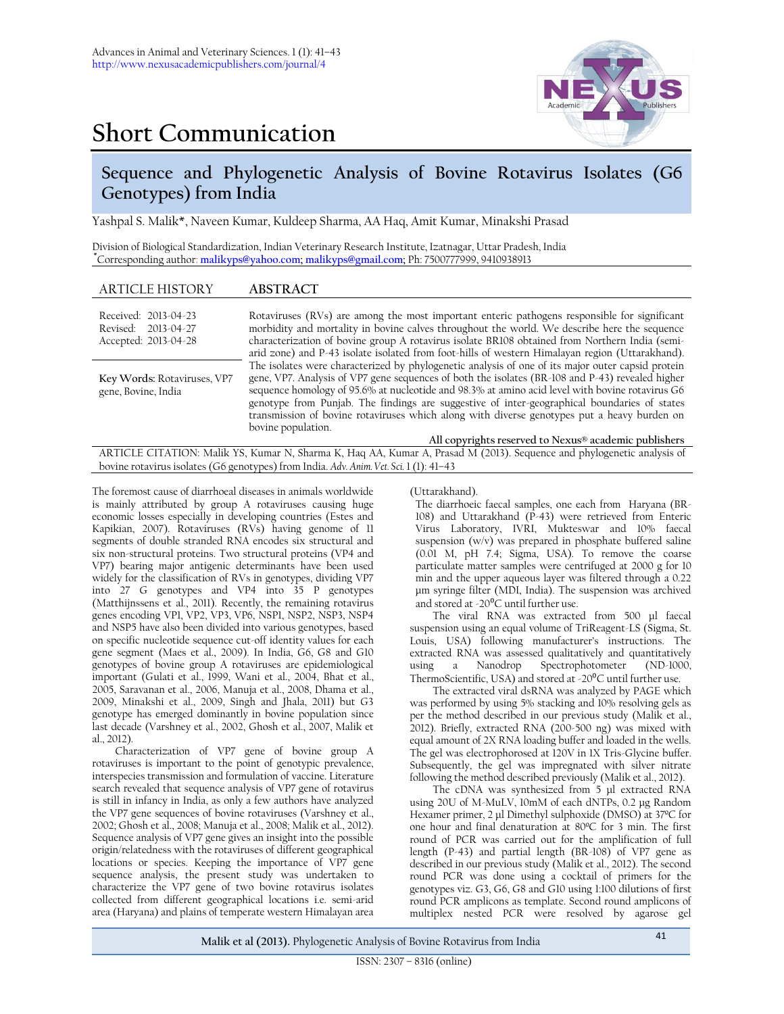# **Short Communication**



## **Sequence and Phylogenetic Analysis of Bovine Rotavirus Isolates (G6 Genotypes) from India**

Yashpal S. Malik\*, Naveen Kumar, Kuldeep Sharma, AA Haq, Amit Kumar, Minakshi Prasad

Division of Biological Standardization, Indian Veterinary Research Institute, Izatnagar, Uttar Pradesh, India **\***Corresponding author: **[malikyps@yahoo.com;](mailto:malikyps@yahoo.com) [malikyps@gmail.com;](mailto:malikyps@gmail.com)** Ph: 7500777999, 9410938913

## ARTICLE HISTORY **ABSTRACT**

| Received: 2013-04-23<br>Revised: 2013-04-27<br>Accepted: 2013-04-28 | Rotaviruses (RVs) are among the most important enteric pathogens responsible for significant<br>morbidity and mortality in bovine calves throughout the world. We describe here the sequence<br>characterization of bovine group A rotavirus isolate BR108 obtained from Northern India (semi-<br>arid zone) and P-43 isolate isolated from foot-hills of western Himalayan region (Uttarakhand).                                                                                                                             |
|---------------------------------------------------------------------|-------------------------------------------------------------------------------------------------------------------------------------------------------------------------------------------------------------------------------------------------------------------------------------------------------------------------------------------------------------------------------------------------------------------------------------------------------------------------------------------------------------------------------|
| Key Words: Rotaviruses, VP7<br>gene, Bovine, India                  | The isolates were characterized by phylogenetic analysis of one of its major outer capsid protein<br>gene, VP7. Analysis of VP7 gene sequences of both the isolates (BR-108 and P-43) revealed higher<br>sequence homology of 95.6% at nucleotide and 98.3% at amino acid level with bovine rotavirus G6<br>genotype from Punjab. The findings are suggestive of inter-geographical boundaries of states<br>transmission of bovine rotaviruses which along with diverse genotypes put a heavy burden on<br>bovine population. |
|                                                                     | All copyrights reserved to Nexus® academic publishers                                                                                                                                                                                                                                                                                                                                                                                                                                                                         |

ARTICLE CITATION: Malik YS, Kumar N, Sharma K, Haq AA, Kumar A, Prasad M (2013). Sequence and phylogenetic analysis of bovine rotavirus isolates (G6 genotypes) from India. *Adv. Anim. Vet. Sci.* 1 (1): 41–43

The foremost cause of diarrhoeal diseases in animals worldwide is mainly attributed by group A rotaviruses causing huge economic losses especially in developing countries (Estes and Kapikian, 2007). Rotaviruses (RVs) having genome of 11 segments of double stranded RNA encodes six structural and six non-structural proteins. Two structural proteins (VP4 and VP7) bearing major antigenic determinants have been used widely for the classification of RVs in genotypes, dividing VP7 into 27 G genotypes and VP4 into 35 P genotypes (Matthijnssens et al., 2011). Recently, the remaining rotavirus genes encoding VP1, VP2, VP3, VP6, NSP1, NSP2, NSP3, NSP4 and NSP5 have also been divided into various genotypes, based on specific nucleotide sequence cut-off identity values for each gene segment (Maes et al., 2009). In India, G6, G8 and G10 genotypes of bovine group A rotaviruses are epidemiological important (Gulati et al., 1999, Wani et al., 2004, Bhat et al., 2005, Saravanan et al., 2006, Manuja et al., 2008, Dhama et al., 2009, Minakshi et al., 2009, Singh and Jhala, 2011) but G3 genotype has emerged dominantly in bovine population since last decade (Varshney et al., 2002, Ghosh et al., 2007, Malik et al., 2012).

Characterization of VP7 gene of bovine group A rotaviruses is important to the point of genotypic prevalence, interspecies transmission and formulation of vaccine. Literature search revealed that sequence analysis of VP7 gene of rotavirus is still in infancy in India, as only a few authors have analyzed the VP7 gene sequences of bovine rotaviruses (Varshney et al., 2002; Ghosh et al., 2008; Manuja et al., 2008; Malik et al., 2012). Sequence analysis of VP7 gene gives an insight into the possible origin/relatedness with the rotaviruses of different geographical locations or species. Keeping the importance of VP7 gene sequence analysis, the present study was undertaken to characterize the VP7 gene of two bovine rotavirus isolates collected from different geographical locations i.e. semi-arid area (Haryana) and plains of temperate western Himalayan area

(Uttarakhand).

The diarrhoeic faecal samples, one each from Haryana (BR-108) and Uttarakhand (P-43) were retrieved from Enteric Virus Laboratory, IVRI, Mukteswar and 10% faecal suspension  $(w/v)$  was prepared in phosphate buffered saline  $(0.01 \text{ M}, \text{ pH } 7.4; \text{Sigma} \cdot \text{USA})$ . To remove the coarse particulate matter samples were centrifuged at 2000 g for 10 min and the upper aqueous layer was filtered through a 0.22 μm syringe filter (MDI, India). The suspension was archived and stored at -20 $^{\circ}$ C until further use.

The viral RNA was extracted from 500 μl faecal suspension using an equal volume of TriReagent-LS (Sigma, St. Louis, USA) following manufacturer's instructions. The extracted RNA was assessed qualitatively and quantitatively using a Nanodrop Spectrophotometer (ND-1000, ThermoScientific, USA) and stored at -20 $\rm{^0C}$  until further use.

The extracted viral dsRNA was analyzed by PAGE which was performed by using 5% stacking and 10% resolving gels as per the method described in our previous study (Malik et al., 2012). Briefly, extracted RNA (200-500 ng) was mixed with equal amount of 2X RNA loading buffer and loaded in the wells. The gel was electrophorosed at 120V in 1X Tris-Glycine buffer. Subsequently, the gel was impregnated with silver nitrate following the method described previously (Malik et al., 2012).

The cDNA was synthesized from 5 µl extracted RNA using 20U of M-MuLV, 10mM of each dNTPs, 0.2 µg Random Hexamer primer, 2 µl Dimethyl sulphoxide (DMSO) at 37ºC for one hour and final denaturation at 80ºC for 3 min. The first round of PCR was carried out for the amplification of full length (P-43) and partial length  $(BR-108)$  of VP7 gene as described in our previous study (Malik et al., 2012). The second round PCR was done using a cocktail of primers for the genotypes viz. G3, G6, G8 and G10 using 1:100 dilutions of first round PCR amplicons as template. Second round amplicons of multiplex nested PCR were resolved by agarose gel

**Malik et al (2013).** Phylogenetic Analysis of Bovine Rotavirus from India <sup>41</sup>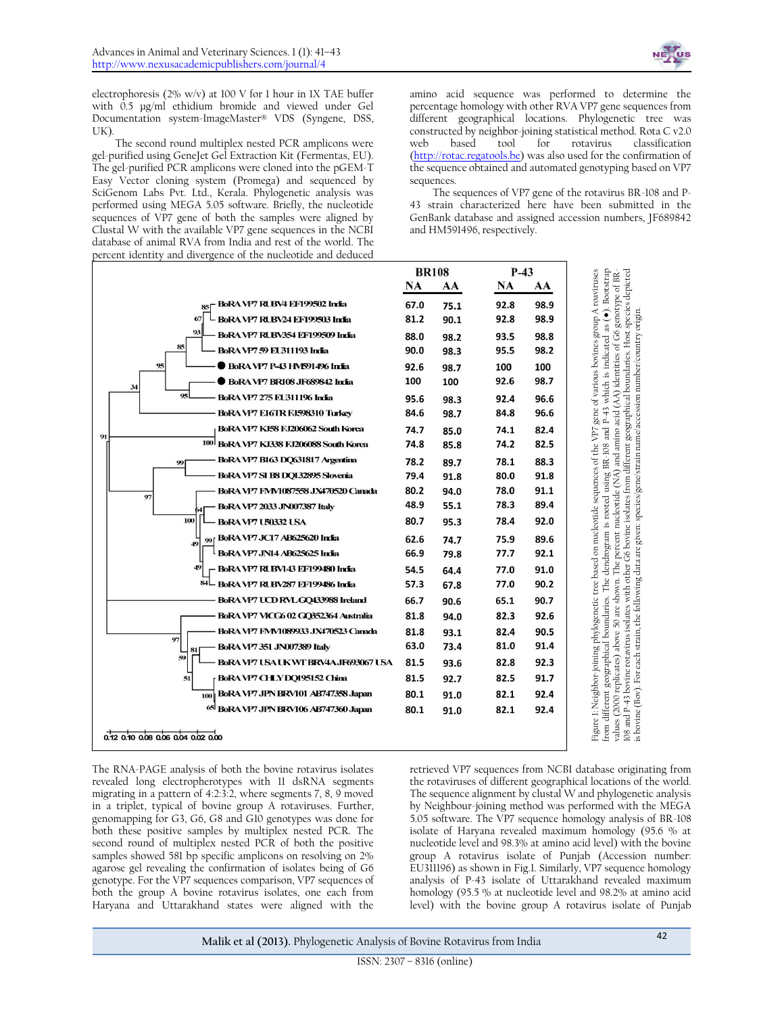

electrophoresis ( $2\%$  w/v) at 100 V for 1 hour in 1X TAE buffer with 0.5 µg/ml ethidium bromide and viewed under Gel Documentation system-ImageMaster® VDS (Syngene, DSS, UK)

The second round multiplex nested PCR amplicons were gel-purified using GeneJet Gel Extraction Kit (Fermentas, EU). The gel-purified PCR amplicons were cloned into the pGEM-T Easy Vector cloning system (Promega) and sequenced by SciGenom Labs Pvt. Ltd., Kerala. Phylogenetic analysis was performed using MEGA 5.05 software. Briefly, the nucleotide sequences of VP7 gene of both the samples were aligned by Clustal W with the available VP7 gene sequences in the NCBI database of animal RVA from India and rest of the world. The percent identity and divergence of the nucleotide and deduced

amino acid sequence was performed to determine the percentage homology with other RVA VP7 gene sequences from different geographical locations. Phylogenetic tree was constructed by neighbor-joining statistical method. Rota C v2.0 web based tool for rotavirus classification [\(http://rotac.regatools.be\)](http://rotac.regatools.be/) was also used for the confirmation of the sequence obtained and automated genotyping based on VP7 sequences.

The sequences of VP7 gene of the rotavirus BR-108 and P-43 strain characterized here have been submitted in the GenBank database and assigned accession numbers, JF689842 and HM591496, respectively.

|                                                                                                                                                                                                                                                                                                                                                                                                                                                                                                                                                                                                                                                                                                                                                                       | <b>BR108</b> |      | $P-43$          |      |                                                                                                                                                                                                                                                                                                                                                                                                                                                                                                                                                                                                                                                                                                                                                                                |
|-----------------------------------------------------------------------------------------------------------------------------------------------------------------------------------------------------------------------------------------------------------------------------------------------------------------------------------------------------------------------------------------------------------------------------------------------------------------------------------------------------------------------------------------------------------------------------------------------------------------------------------------------------------------------------------------------------------------------------------------------------------------------|--------------|------|-----------------|------|--------------------------------------------------------------------------------------------------------------------------------------------------------------------------------------------------------------------------------------------------------------------------------------------------------------------------------------------------------------------------------------------------------------------------------------------------------------------------------------------------------------------------------------------------------------------------------------------------------------------------------------------------------------------------------------------------------------------------------------------------------------------------------|
|                                                                                                                                                                                                                                                                                                                                                                                                                                                                                                                                                                                                                                                                                                                                                                       | NA<br>AA     |      | <b>NA</b><br>AA |      | is indicated as (•). Bootstrap<br>Figure 1: Neighbor-joining phylogenetic tree based on nucleotide sequences of the VP7 gene of various bovines group A roaviruses<br>values (2000 replicates) above 50 are shown. The percent nucleotide (NA) and amino acid (AA) identities of G6 genotype of BR-<br>108 and P-43 bovine rotavirus isolates with other G6 bovine isolates from different geographical                                                                                                                                                                                                                                                                                                                                                                        |
| BoRA VP7 RUBV4 EF199502 India                                                                                                                                                                                                                                                                                                                                                                                                                                                                                                                                                                                                                                                                                                                                         | 67.0         | 75.1 | 92.8            | 98.9 |                                                                                                                                                                                                                                                                                                                                                                                                                                                                                                                                                                                                                                                                                                                                                                                |
| 67<br>BoRA VP7 RLBV24 EF199503 India                                                                                                                                                                                                                                                                                                                                                                                                                                                                                                                                                                                                                                                                                                                                  | 81.2         | 90.1 | 92.8            | 98.9 |                                                                                                                                                                                                                                                                                                                                                                                                                                                                                                                                                                                                                                                                                                                                                                                |
| 93<br>BoRA VP7 RUBV354 EF199509 India                                                                                                                                                                                                                                                                                                                                                                                                                                                                                                                                                                                                                                                                                                                                 | 88.0         | 98.2 | 93.5            | 98.8 |                                                                                                                                                                                                                                                                                                                                                                                                                                                                                                                                                                                                                                                                                                                                                                                |
| 85<br>BoRA VP7 59 EU311193 India                                                                                                                                                                                                                                                                                                                                                                                                                                                                                                                                                                                                                                                                                                                                      | 90.0         | 98.3 | 95.5            | 98.2 |                                                                                                                                                                                                                                                                                                                                                                                                                                                                                                                                                                                                                                                                                                                                                                                |
| <b>BoRA VP7 P-43 HVF91496 India</b><br>95                                                                                                                                                                                                                                                                                                                                                                                                                                                                                                                                                                                                                                                                                                                             | 92.6         | 98.7 | 100             | 100  |                                                                                                                                                                                                                                                                                                                                                                                                                                                                                                                                                                                                                                                                                                                                                                                |
| <b>BoRA VP7 BR108 JF689842 India</b><br>34                                                                                                                                                                                                                                                                                                                                                                                                                                                                                                                                                                                                                                                                                                                            | 100          | 100  | 92.6            | 98.7 |                                                                                                                                                                                                                                                                                                                                                                                                                                                                                                                                                                                                                                                                                                                                                                                |
| 95<br>BoRA VP7 275 EU311196 India                                                                                                                                                                                                                                                                                                                                                                                                                                                                                                                                                                                                                                                                                                                                     | 95.6         | 98.3 | 92.4            | 96.6 | P-43 which                                                                                                                                                                                                                                                                                                                                                                                                                                                                                                                                                                                                                                                                                                                                                                     |
| BoRA VP7 E16TR FJ598310 Turkey                                                                                                                                                                                                                                                                                                                                                                                                                                                                                                                                                                                                                                                                                                                                        | 84.6         | 98.7 | 84.8            | 96.6 |                                                                                                                                                                                                                                                                                                                                                                                                                                                                                                                                                                                                                                                                                                                                                                                |
| BoRA VP7 KJ58 FJ206062 South Korea<br>91                                                                                                                                                                                                                                                                                                                                                                                                                                                                                                                                                                                                                                                                                                                              | 74.7         | 85.0 | 74.1            | 82.4 | and                                                                                                                                                                                                                                                                                                                                                                                                                                                                                                                                                                                                                                                                                                                                                                            |
| 100 BoRA VP7 KJ338 FJ206088 South Korea                                                                                                                                                                                                                                                                                                                                                                                                                                                                                                                                                                                                                                                                                                                               | 74.8         | 85.8 | 74.2            | 82.5 |                                                                                                                                                                                                                                                                                                                                                                                                                                                                                                                                                                                                                                                                                                                                                                                |
| BoRA VP7 B163 DQ631817 Argentina<br>99                                                                                                                                                                                                                                                                                                                                                                                                                                                                                                                                                                                                                                                                                                                                | 78.2         | 89.7 | 78.1            | 88.3 |                                                                                                                                                                                                                                                                                                                                                                                                                                                                                                                                                                                                                                                                                                                                                                                |
| BoRA VP7 SI B8 DQ132895 Slovenia                                                                                                                                                                                                                                                                                                                                                                                                                                                                                                                                                                                                                                                                                                                                      | 79.4         | 91.8 | 80.0            | 91.8 |                                                                                                                                                                                                                                                                                                                                                                                                                                                                                                                                                                                                                                                                                                                                                                                |
| BoRA VP7 FMM1087558 JX470520 Canada<br>97                                                                                                                                                                                                                                                                                                                                                                                                                                                                                                                                                                                                                                                                                                                             | 80.2         | 94.0 | 78.0            | 91.1 |                                                                                                                                                                                                                                                                                                                                                                                                                                                                                                                                                                                                                                                                                                                                                                                |
| BoRA VP7 2033 JN007387 Italy                                                                                                                                                                                                                                                                                                                                                                                                                                                                                                                                                                                                                                                                                                                                          | 48.9         | 55.1 | 78.3            | 89.4 |                                                                                                                                                                                                                                                                                                                                                                                                                                                                                                                                                                                                                                                                                                                                                                                |
| 100<br><b>BoRA VP7 U50332 USA</b>                                                                                                                                                                                                                                                                                                                                                                                                                                                                                                                                                                                                                                                                                                                                     | 80.7         | 95.3 | 78.4            | 92.0 |                                                                                                                                                                                                                                                                                                                                                                                                                                                                                                                                                                                                                                                                                                                                                                                |
| BoRA VP7 JC17 AB625620 India<br>99<br>49                                                                                                                                                                                                                                                                                                                                                                                                                                                                                                                                                                                                                                                                                                                              | 62.6         | 74.7 | 75.9            | 89.6 |                                                                                                                                                                                                                                                                                                                                                                                                                                                                                                                                                                                                                                                                                                                                                                                |
| BoRA VP7 JN14 AB625625 India                                                                                                                                                                                                                                                                                                                                                                                                                                                                                                                                                                                                                                                                                                                                          | 66.9         | 79.8 | 77.7            | 92.1 |                                                                                                                                                                                                                                                                                                                                                                                                                                                                                                                                                                                                                                                                                                                                                                                |
| 49<br>BoRA VP7 RUBV143 EF199480 India                                                                                                                                                                                                                                                                                                                                                                                                                                                                                                                                                                                                                                                                                                                                 | 54.5         | 64.4 | 77.0            | 91.0 | The dendrogram is rooted using BR-108                                                                                                                                                                                                                                                                                                                                                                                                                                                                                                                                                                                                                                                                                                                                          |
| 84<br>BoRA VP7 RLBV287 EF199486 India                                                                                                                                                                                                                                                                                                                                                                                                                                                                                                                                                                                                                                                                                                                                 | 57.3         | 67.8 | 77.0            | 90.2 |                                                                                                                                                                                                                                                                                                                                                                                                                                                                                                                                                                                                                                                                                                                                                                                |
| BoRA VP7 UCD RVL GQ433988 Ireland                                                                                                                                                                                                                                                                                                                                                                                                                                                                                                                                                                                                                                                                                                                                     | 66.7         | 90.6 | 65.1            | 90.7 |                                                                                                                                                                                                                                                                                                                                                                                                                                                                                                                                                                                                                                                                                                                                                                                |
| BoRA VP7 VICG6 02 GQ352364 Australia                                                                                                                                                                                                                                                                                                                                                                                                                                                                                                                                                                                                                                                                                                                                  | 81.8         | 94.0 | 82.3            | 92.6 |                                                                                                                                                                                                                                                                                                                                                                                                                                                                                                                                                                                                                                                                                                                                                                                |
| BoRA VP7 FMM1089933 JX470523 Canada<br>97                                                                                                                                                                                                                                                                                                                                                                                                                                                                                                                                                                                                                                                                                                                             | 81.8         | 93.1 | 82.4            | 90.5 |                                                                                                                                                                                                                                                                                                                                                                                                                                                                                                                                                                                                                                                                                                                                                                                |
| BoRA VP7 351 JN007389 Italy<br>81                                                                                                                                                                                                                                                                                                                                                                                                                                                                                                                                                                                                                                                                                                                                     | 63.0         | 73.4 | 81.0            | 91.4 |                                                                                                                                                                                                                                                                                                                                                                                                                                                                                                                                                                                                                                                                                                                                                                                |
| 59<br>B0RA VP7 USA UK WT BRV4A JF693067 USA                                                                                                                                                                                                                                                                                                                                                                                                                                                                                                                                                                                                                                                                                                                           | 81.5         | 93.6 | 82.8            | 92.3 |                                                                                                                                                                                                                                                                                                                                                                                                                                                                                                                                                                                                                                                                                                                                                                                |
| 51<br>BoRA VP7 CHLY DQ195152 China                                                                                                                                                                                                                                                                                                                                                                                                                                                                                                                                                                                                                                                                                                                                    | 81.5         | 92.7 | 82.5            | 91.7 |                                                                                                                                                                                                                                                                                                                                                                                                                                                                                                                                                                                                                                                                                                                                                                                |
| BoRA VP7 JPN BRV101 AB747358 Japan<br>100                                                                                                                                                                                                                                                                                                                                                                                                                                                                                                                                                                                                                                                                                                                             | 80.1         | 91.0 | 82.1            | 92.4 |                                                                                                                                                                                                                                                                                                                                                                                                                                                                                                                                                                                                                                                                                                                                                                                |
| 65  BoRA VP7 JPN BRV106 AB747360 Japan                                                                                                                                                                                                                                                                                                                                                                                                                                                                                                                                                                                                                                                                                                                                | 80.1         | 91.0 | 82.1            | 92.4 |                                                                                                                                                                                                                                                                                                                                                                                                                                                                                                                                                                                                                                                                                                                                                                                |
|                                                                                                                                                                                                                                                                                                                                                                                                                                                                                                                                                                                                                                                                                                                                                                       |              |      |                 |      | from different geographical boundaries.                                                                                                                                                                                                                                                                                                                                                                                                                                                                                                                                                                                                                                                                                                                                        |
| 0.12 0.10 0.08 0.06 0.04 0.02 0.00                                                                                                                                                                                                                                                                                                                                                                                                                                                                                                                                                                                                                                                                                                                                    |              |      |                 |      |                                                                                                                                                                                                                                                                                                                                                                                                                                                                                                                                                                                                                                                                                                                                                                                |
| The RNA-PAGE analysis of both the bovine rotavirus isolates<br>revealed long electropherotypes with 11 dsRNA segments<br>migrating in a pattern of 4:2:3:2, where segments 7, 8, 9 moved<br>in a triplet, typical of bovine group A rotaviruses. Further,<br>genomapping for G3, G6, G8 and G10 genotypes was done for<br>both these positive samples by multiplex nested PCR. The<br>second round of multiplex nested PCR of both the positive<br>samples showed 581 bp specific amplicons on resolving on 2%<br>agarose gel revealing the confirmation of isolates being of G6<br>genotype. For the VP7 sequences comparison, VP7 sequences of<br>both the group A bovine rotavirus isolates, one each from<br>Haryana and Uttarakhand states were aligned with the |              |      |                 |      | retrieved VP7 sequences from NCBI database originating from<br>the rotaviruses of different geographical locations of the world.<br>The sequence alignment by clustal W and phylogenetic analysis<br>by Neighbour-joining method was performed with the MEGA<br>5.05 software. The VP7 sequence homology analysis of BR-108<br>isolate of Haryana revealed maximum homology (95.6 % at<br>nucleotide level and 98.3% at amino acid level) with the bovine<br>group A rotavirus isolate of Punjab (Accession number:<br>EU311196) as shown in Fig.1. Similarly, VP7 sequence homology<br>analysis of P-43 isolate of Uttarakhand revealed maximum<br>homology (95.5 % at nucleotide level and 98.2% at amino acid<br>level) with the bovine group A rotavirus isolate of Punjab |

**Malik et al (2013).** Phylogenetic Analysis of Bovine Rotavirus from India <sup>42</sup>